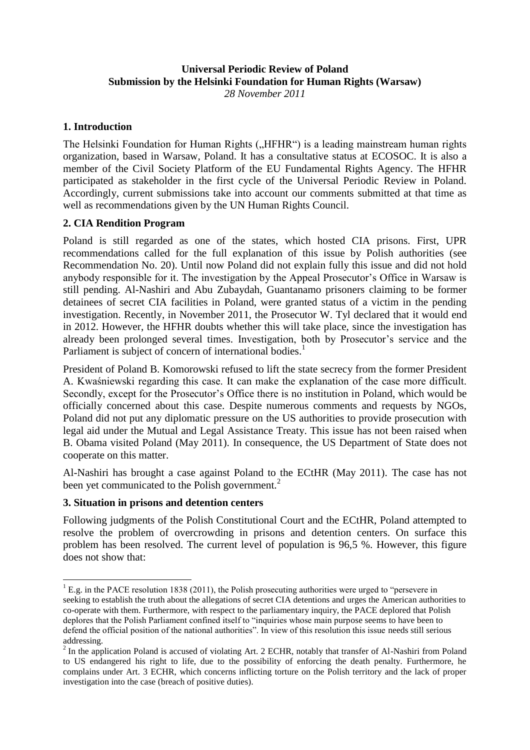## **Universal Periodic Review of Poland Submission by the Helsinki Foundation for Human Rights (Warsaw)** *28 November 2011*

## **1. Introduction**

The Helsinki Foundation for Human Rights ("HFHR") is a leading mainstream human rights organization, based in Warsaw, Poland. It has a consultative status at ECOSOC. It is also a member of the Civil Society Platform of the EU Fundamental Rights Agency. The HFHR participated as stakeholder in the first cycle of the Universal Periodic Review in Poland. Accordingly, current submissions take into account our comments submitted at that time as well as recommendations given by the UN Human Rights Council.

# **2. CIA Rendition Program**

Poland is still regarded as one of the states, which hosted CIA prisons. First, UPR recommendations called for the full explanation of this issue by Polish authorities (see Recommendation No. 20). Until now Poland did not explain fully this issue and did not hold anybody responsible for it. The investigation by the Appeal Prosecutor"s Office in Warsaw is still pending. Al-Nashiri and Abu Zubaydah, Guantanamo prisoners claiming to be former detainees of secret CIA facilities in Poland, were granted status of a victim in the pending investigation. Recently, in November 2011, the Prosecutor W. Tyl declared that it would end in 2012. However, the HFHR doubts whether this will take place, since the investigation has already been prolonged several times. Investigation, both by Prosecutor's service and the Parliament is subject of concern of international bodies.<sup>1</sup>

President of Poland B. Komorowski refused to lift the state secrecy from the former President A. Kwaśniewski regarding this case. It can make the explanation of the case more difficult. Secondly, except for the Prosecutor's Office there is no institution in Poland, which would be officially concerned about this case. Despite numerous comments and requests by NGOs, Poland did not put any diplomatic pressure on the US authorities to provide prosecution with legal aid under the Mutual and Legal Assistance Treaty. This issue has not been raised when B. Obama visited Poland (May 2011). In consequence, the US Department of State does not cooperate on this matter.

Al-Nashiri has brought a case against Poland to the ECtHR (May 2011). The case has not been yet communicated to the Polish government.<sup>2</sup>

#### **3. Situation in prisons and detention centers**

 $\overline{a}$ 

Following judgments of the Polish Constitutional Court and the ECtHR, Poland attempted to resolve the problem of overcrowding in prisons and detention centers. On surface this problem has been resolved. The current level of population is 96,5 %. However, this figure does not show that:

 $1$  E.g. in the PACE resolution 1838 (2011), the Polish prosecuting authorities were urged to "persevere in seeking to establish the truth about the allegations of secret CIA detentions and urges the American authorities to co-operate with them. Furthermore, with respect to the parliamentary inquiry, the PACE deplored that Polish deplores that the Polish Parliament confined itself to "inquiries whose main purpose seems to have been to defend the official position of the national authorities". In view of this resolution this issue needs still serious addressing.

 $2$  In the application Poland is accused of violating Art. 2 ECHR, notably that transfer of Al-Nashiri from Poland to US endangered his right to life, due to the possibility of enforcing the death penalty. Furthermore, he complains under Art. 3 ECHR, which concerns inflicting torture on the Polish territory and the lack of proper investigation into the case (breach of positive duties).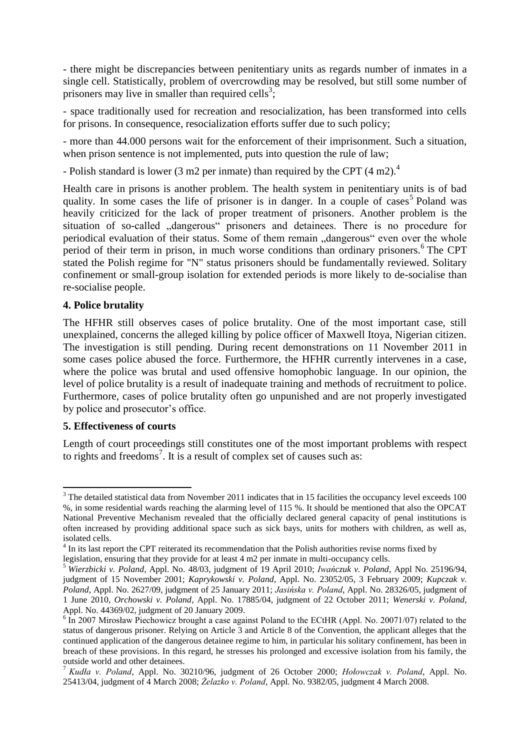- there might be discrepancies between penitentiary units as regards number of inmates in a single cell. Statistically, problem of overcrowding may be resolved, but still some number of prisoners may live in smaller than required cells<sup>3</sup>;

- space traditionally used for recreation and resocialization, has been transformed into cells for prisons. In consequence, resocialization efforts suffer due to such policy;

- more than 44.000 persons wait for the enforcement of their imprisonment. Such a situation, when prison sentence is not implemented, puts into question the rule of law;

- Polish standard is lower (3 m2 per inmate) than required by the CPT (4 m2).<sup>4</sup>

Health care in prisons is another problem. The health system in penitentiary units is of bad quality. In some cases the life of prisoner is in danger. In a couple of cases<sup>5</sup> Poland was heavily criticized for the lack of proper treatment of prisoners. Another problem is the situation of so-called "dangerous" prisoners and detainees. There is no procedure for periodical evaluation of their status. Some of them remain "dangerous" even over the whole period of their term in prison, in much worse conditions than ordinary prisoners.<sup>6</sup> The CPT stated the Polish regime for "N" status prisoners should be fundamentally reviewed. Solitary confinement or small-group isolation for extended periods is more likely to de-socialise than re-socialise people.

## **4. Police brutality**

The HFHR still observes cases of police brutality. One of the most important case, still unexplained, concerns the alleged killing by police officer of Maxwell Itoya, Nigerian citizen. The investigation is still pending. During recent demonstrations on 11 November 2011 in some cases police abused the force. Furthermore, the HFHR currently intervenes in a case, where the police was brutal and used offensive homophobic language. In our opinion, the level of police brutality is a result of inadequate training and methods of recruitment to police. Furthermore, cases of police brutality often go unpunished and are not properly investigated by police and prosecutor's office.

#### **5. Effectiveness of courts**

Length of court proceedings still constitutes one of the most important problems with respect to rights and freedoms<sup>7</sup>. It is a result of complex set of causes such as:

 $\overline{a}$  $3$  The detailed statistical data from November 2011 indicates that in 15 facilities the occupancy level exceeds 100 %, in some residential wards reaching the alarming level of 115 %. It should be mentioned that also the OPCAT National Preventive Mechanism revealed that the officially declared general capacity of penal institutions is often increased by providing additional space such as sick bays, units for mothers with children, as well as, isolated cells.

<sup>&</sup>lt;sup>4</sup> In its last report the CPT reiterated its recommendation that the Polish authorities revise norms fixed by legislation, ensuring that they provide for at least 4 m2 per inmate in multi-occupancy cells.

<sup>&</sup>lt;sup>5</sup> Wierzbicki v. Poland, Appl. No. 48/03, judgment of 19 April 2010; Iwańczuk v. Poland, Appl No. 25196/94, judgment of 15 November 2001; *Kaprykowski v. Poland*, Appl. No. 23052/05, 3 February 2009; *Kupczak v.*  Poland, Appl. No. 2627/09, judgment of 25 January 2011; Jasińska v. Poland, Appl. No. 28326/05, judgment of 1 June 2010, *Orchowski v. Poland,* Appl. No. 17885/04, judgment of 22 October 2011; *Wenerski v. Poland*, Appl. No. 44369/02, judgment of 20 January 2009.

<sup>&</sup>lt;sup>6</sup> In 2007 Mirosław Piechowicz brought a case against Poland to the ECtHR (Appl. No. 20071/07) related to the status of dangerous prisoner. Relying on Article 3 and Article 8 of the Convention, the applicant alleges that the continued application of the dangerous detainee regime to him, in particular his solitary confinement, has been in breach of these provisions. In this regard, he stresses his prolonged and excessive isolation from his family, the outside world and other detainees.

<sup>&</sup>lt;sup>7</sup> Kudła v. Poland, Appl. No. 30210/96, judgment of 26 October 2000; *Hołowczak v. Poland*, Appl. No. 25413/04, judgment of 4 March 2008; *Żelazko v. Poland*, Appl. No. 9382/05, judgment 4 March 2008.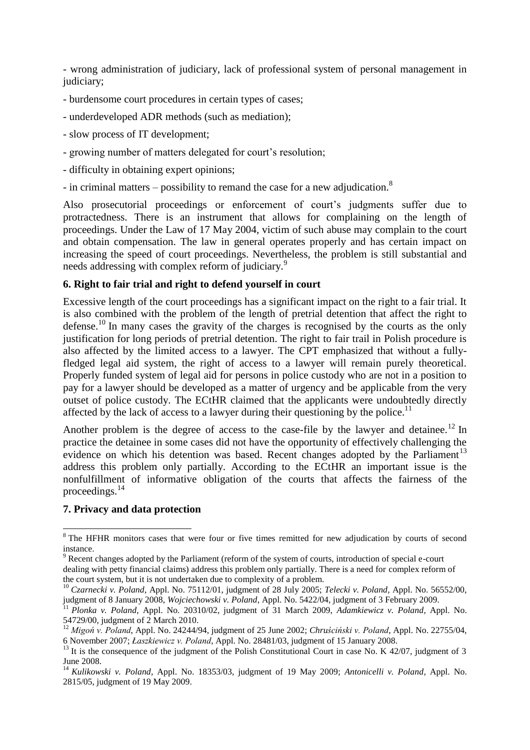- wrong administration of judiciary, lack of professional system of personal management in judiciary;

- burdensome court procedures in certain types of cases;
- underdeveloped ADR methods (such as mediation);
- slow process of IT development;
- growing number of matters delegated for court's resolution;
- difficulty in obtaining expert opinions;
- in criminal matters possibility to remand the case for a new adjudication.<sup>8</sup>

Also prosecutorial proceedings or enforcement of court's judgments suffer due to protractedness. There is an instrument that allows for complaining on the length of proceedings. Under the Law of 17 May 2004, victim of such abuse may complain to the court and obtain compensation. The law in general operates properly and has certain impact on increasing the speed of court proceedings. Nevertheless, the problem is still substantial and needs addressing with complex reform of judiciary.<sup>9</sup>

## **6. Right to fair trial and right to defend yourself in court**

Excessive length of the court proceedings has a significant impact on the right to a fair trial. It is also combined with the problem of the length of pretrial detention that affect the right to defense.<sup>10</sup> In many cases the gravity of the charges is recognised by the courts as the only justification for long periods of pretrial detention. The right to fair trail in Polish procedure is also affected by the limited access to a lawyer. The CPT emphasized that without a fullyfledged legal aid system, the right of access to a lawyer will remain purely theoretical. Properly funded system of legal aid for persons in police custody who are not in a position to pay for a lawyer should be developed as a matter of urgency and be applicable from the very outset of police custody. The ECtHR claimed that the applicants were undoubtedly directly affected by the lack of access to a lawyer during their questioning by the police.<sup>11</sup>

Another problem is the degree of access to the case-file by the lawyer and detainee.<sup>12</sup> In practice the detainee in some cases did not have the opportunity of effectively challenging the evidence on which his detention was based. Recent changes adopted by the Parliament<sup>13</sup> address this problem only partially. According to the ECtHR an important issue is the nonfulfillment of informative obligation of the courts that affects the fairness of the proceedings.<sup>14</sup>

#### **7. Privacy and data protection**

 $\overline{\phantom{a}}$ <sup>8</sup> The HFHR monitors cases that were four or five times remitted for new adjudication by courts of second instance.

<sup>9</sup> Recent changes adopted by the Parliament (reform of the system of courts, introduction of special e-court dealing with petty financial claims) address this problem only partially. There is a need for complex reform of the court system, but it is not undertaken due to complexity of a problem.

<sup>10</sup> *Czarnecki v. Poland*, Appl. No. 75112/01, judgment of 28 July 2005; *Telecki v. Poland,* Appl. No. 56552/00, judgment of 8 January 2008, *Wojciechowski v. Poland*, Appl. No. 5422/04, judgment of 3 February 2009.

<sup>11</sup> *Plonka v. Poland*, Appl. No. 20310/02, judgment of 31 March 2009, *Adamkiewicz v. Poland*, Appl. No. 54729/00, judgment of 2 March 2010.

<sup>&</sup>lt;sup>12</sup> Migoń v. Poland, Appl. No. 24244/94, judgment of 25 June 2002; *Chruściński v. Poland*, Appl. No. 22755/04, 6 November 2007; *Łaszkiewicz v. Poland*, Appl. No. 28481/03, judgment of 15 January 2008.

<sup>&</sup>lt;sup>13</sup> It is the consequence of the judgment of the Polish Constitutional Court in case No. K 42/07, judgment of 3 June 2008.

<sup>14</sup> *Kulikowski v. Poland*, Appl. No. 18353/03, judgment of 19 May 2009; *Antonicelli v. Poland,* Appl. No. 2815/05, judgment of 19 May 2009.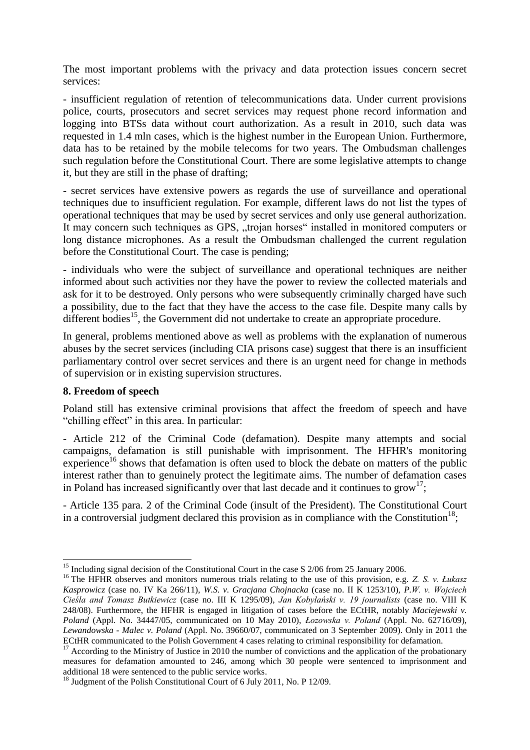The most important problems with the privacy and data protection issues concern secret services:

- insufficient regulation of retention of telecommunications data. Under current provisions police, courts, prosecutors and secret services may request phone record information and logging into BTSs data without court authorization. As a result in 2010, such data was requested in 1.4 mln cases, which is the highest number in the European Union. Furthermore, data has to be retained by the mobile telecoms for two years. The Ombudsman challenges such regulation before the Constitutional Court. There are some legislative attempts to change it, but they are still in the phase of drafting;

- secret services have extensive powers as regards the use of surveillance and operational techniques due to insufficient regulation. For example, different laws do not list the types of operational techniques that may be used by secret services and only use general authorization. It may concern such techniques as GPS, "trojan horses" installed in monitored computers or long distance microphones. As a result the Ombudsman challenged the current regulation before the Constitutional Court. The case is pending;

- individuals who were the subject of surveillance and operational techniques are neither informed about such activities nor they have the power to review the collected materials and ask for it to be destroyed. Only persons who were subsequently criminally charged have such a possibility, due to the fact that they have the access to the case file. Despite many calls by different bodies<sup>15</sup>, the Government did not undertake to create an appropriate procedure.

In general, problems mentioned above as well as problems with the explanation of numerous abuses by the secret services (including CIA prisons case) suggest that there is an insufficient parliamentary control over secret services and there is an urgent need for change in methods of supervision or in existing supervision structures.

#### **8. Freedom of speech**

 $\overline{\phantom{a}}$ 

Poland still has extensive criminal provisions that affect the freedom of speech and have "chilling effect" in this area. In particular:

- Article 212 of the Criminal Code (defamation). Despite many attempts and social campaigns, defamation is still punishable with imprisonment. The HFHR's monitoring experience<sup>16</sup> shows that defamation is often used to block the debate on matters of the public interest rather than to genuinely protect the legitimate aims. The number of defamation cases in Poland has increased significantly over that last decade and it continues to  $\text{grow}^{17}$ ;

- Article 135 para. 2 of the Criminal Code (insult of the President). The Constitutional Court in a controversial judgment declared this provision as in compliance with the Constitution<sup>18</sup>;

<sup>&</sup>lt;sup>15</sup> Including signal decision of the Constitutional Court in the case S 2/06 from 25 January 2006.

<sup>&</sup>lt;sup>16</sup> The HFHR observes and monitors numerous trials relating to the use of this provision, e.g. *Z. S. v. Łukasz* Kasprowicz (case no. IV Ka 266/11), *W.S. v. Gracjana Chojnacka* (case no. II K 1253/10), *P.W. v. Wojciech* Cieśla and Tomasz Butkiewicz (case no. III K 1295/09), Jan Kobylański v. 19 journalists (case no. VIII K 248/08). Furthermore, the HFHR is engaged in litigation of cases before the ECtHR, notably *Maciejewski v. Poland* (Appl. No. 34447/05, communicated on 10 May 2010), *Łozowska v. Poland* (Appl. No. 62716/09), *Lewandowska - Malec v. Poland* (Appl. No. 39660/07, communicated on 3 September 2009). Only in 2011 the ECtHR communicated to the Polish Government 4 cases relating to criminal responsibility for defamation.

 $17$  According to the Ministry of Justice in 2010 the number of convictions and the application of the probationary measures for defamation amounted to 246, among which 30 people were sentenced to imprisonment and additional 18 were sentenced to the public service works.

<sup>&</sup>lt;sup>18</sup> Judgment of the Polish Constitutional Court of 6 July 2011, No. P 12/09.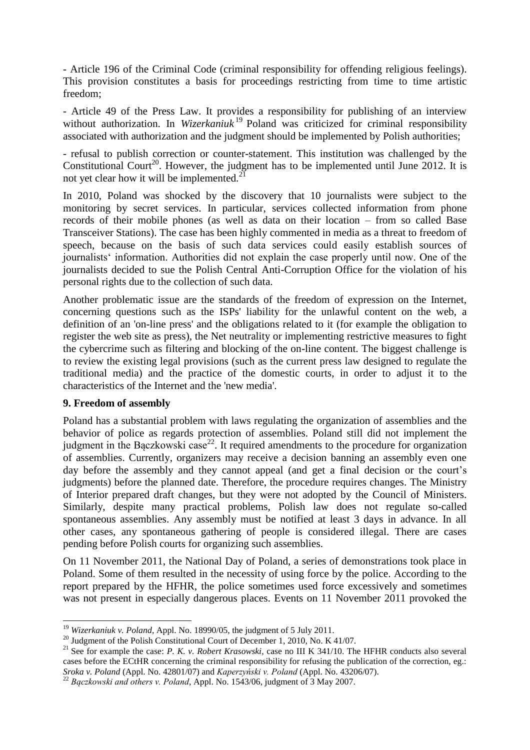- Article 196 of the Criminal Code (criminal responsibility for offending religious feelings). This provision constitutes a basis for proceedings restricting from time to time artistic freedom;

- Article 49 of the Press Law. It provides a responsibility for publishing of an interview without authorization. In *Wizerkaniuk*<sup>19</sup> Poland was criticized for criminal responsibility associated with authorization and the judgment should be implemented by Polish authorities;

- refusal to publish correction or counter-statement. This institution was challenged by the Constitutional Court<sup>20</sup>. However, the judgment has to be implemented until June 2012. It is not yet clear how it will be implemented. $^{21}$ 

In 2010, Poland was shocked by the discovery that 10 journalists were subject to the monitoring by secret services. In particular, services collected information from phone records of their mobile phones (as well as data on their location – from so called Base Transceiver Stations). The case has been highly commented in media as a threat to freedom of speech, because on the basis of such data services could easily establish sources of journalists" information. Authorities did not explain the case properly until now. One of the journalists decided to sue the Polish Central Anti-Corruption Office for the violation of his personal rights due to the collection of such data.

Another problematic issue are the standards of the freedom of expression on the Internet, concerning questions such as the ISPs' liability for the unlawful content on the web, a definition of an 'on-line press' and the obligations related to it (for example the obligation to register the web site as press), the Net neutrality or implementing restrictive measures to fight the cybercrime such as filtering and blocking of the on-line content. The biggest challenge is to review the existing legal provisions (such as the current press law designed to regulate the traditional media) and the practice of the domestic courts, in order to adjust it to the characteristics of the Internet and the 'new media'.

#### **9. Freedom of assembly**

 $\overline{\phantom{a}}$ 

Poland has a substantial problem with laws regulating the organization of assemblies and the behavior of police as regards protection of assemblies. Poland still did not implement the judgment in the Baczkowski case<sup>22</sup>. It required amendments to the procedure for organization of assemblies. Currently, organizers may receive a decision banning an assembly even one day before the assembly and they cannot appeal (and get a final decision or the court's judgments) before the planned date. Therefore, the procedure requires changes. The Ministry of Interior prepared draft changes, but they were not adopted by the Council of Ministers. Similarly, despite many practical problems, Polish law does not regulate so-called spontaneous assemblies. Any assembly must be notified at least 3 days in advance. In all other cases, any spontaneous gathering of people is considered illegal. There are cases pending before Polish courts for organizing such assemblies.

On 11 November 2011, the National Day of Poland, a series of demonstrations took place in Poland. Some of them resulted in the necessity of using force by the police. According to the report prepared by the HFHR, the police sometimes used force excessively and sometimes was not present in especially dangerous places. Events on 11 November 2011 provoked the

<sup>19</sup> *Wizerkaniuk v. Poland*, Appl. No. 18990/05, the judgment of 5 July 2011.

<sup>&</sup>lt;sup>20</sup> Judgment of the Polish Constitutional Court of December 1, 2010, No. K 41/07.

<sup>&</sup>lt;sup>21</sup> See for example the case: *P. K. v. Robert Krasowski*, case no III K 341/10. The HFHR conducts also several cases before the ECtHR concerning the criminal responsibility for refusing the publication of the correction, eg.: *Sroka v. Poland* (Appl. No. 42801/07) and *Kaperzyński v. Poland* (Appl. No. 43206/07).

<sup>&</sup>lt;sup>22</sup> Baczkowski and others v. Poland, Appl. No. 1543/06, judgment of 3 May 2007.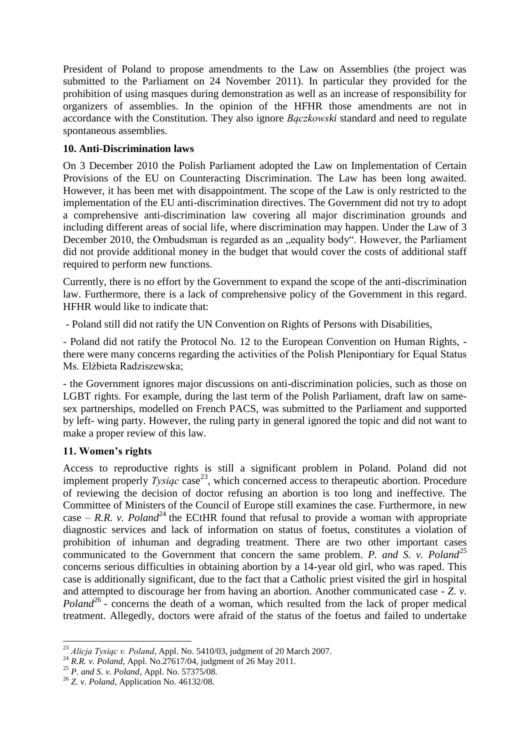President of Poland to propose amendments to the Law on Assemblies (the project was submitted to the Parliament on 24 November 2011). In particular they provided for the prohibition of using masques during demonstration as well as an increase of responsibility for organizers of assemblies. In the opinion of the HFHR those amendments are not in accordance with the Constitution. They also ignore *Baczkowski* standard and need to regulate spontaneous assemblies.

# **10. Anti-Discrimination laws**

On 3 December 2010 the Polish Parliament adopted the Law on Implementation of Certain Provisions of the EU on Counteracting Discrimination. The Law has been long awaited. However, it has been met with disappointment. The scope of the Law is only restricted to the implementation of the EU anti-discrimination directives. The Government did not try to adopt a comprehensive anti-discrimination law covering all major discrimination grounds and including different areas of social life, where discrimination may happen. Under the Law of 3 December 2010, the Ombudsman is regarded as an "equality body". However, the Parliament did not provide additional money in the budget that would cover the costs of additional staff required to perform new functions.

Currently, there is no effort by the Government to expand the scope of the anti-discrimination law. Furthermore, there is a lack of comprehensive policy of the Government in this regard. HFHR would like to indicate that:

- Poland still did not ratify the UN Convention on Rights of Persons with Disabilities,

- Poland did not ratify the Protocol No. 12 to the European Convention on Human Rights, there were many concerns regarding the activities of the Polish Plenipontiary for Equal Status Ms. Elżbieta Radziszewska:

- the Government ignores major discussions on anti-discrimination policies, such as those on LGBT rights. For example, during the last term of the Polish Parliament, draft law on samesex partnerships, modelled on French PACS, was submitted to the Parliament and supported by left- wing party. However, the ruling party in general ignored the topic and did not want to make a proper review of this law.

# **11. Women's rights**

Access to reproductive rights is still a significant problem in Poland. Poland did not implement properly  $Tysiqc$  case<sup>23</sup>, which concerned access to therapeutic abortion. Procedure of reviewing the decision of doctor refusing an abortion is too long and ineffective. The Committee of Ministers of the Council of Europe still examines the case. Furthermore, in new case – *R.R. v. Poland*<sup>24</sup> the ECtHR found that refusal to provide a woman with appropriate diagnostic services and lack of information on status of foetus, constitutes a violation of prohibition of inhuman and degrading treatment. There are two other important cases communicated to the Government that concern the same problem. *P. and S. v. Poland*<sup>25</sup> concerns serious difficulties in obtaining abortion by a 14-year old girl, who was raped. This case is additionally significant, due to the fact that a Catholic priest visited the girl in hospital and attempted to discourage her from having an abortion. Another communicated case - *Z. v.*  Poland<sup>26</sup> - concerns the death of a woman, which resulted from the lack of proper medical treatment. Allegedly, doctors were afraid of the status of the foetus and failed to undertake

 $\overline{\phantom{a}}$ <sup>23</sup> Alicja Tysiąc v. Poland, Appl. No. 5410/03, judgment of 20 March 2007.

<sup>24</sup> *R.R. v. Poland*, Appl. No.27617/04, judgment of 26 May 2011.

<sup>25</sup> *P. and S. v. Poland*, Appl. No. 57375/08.

<sup>26</sup> *Z. v. Poland*, Application No. 46132/08.